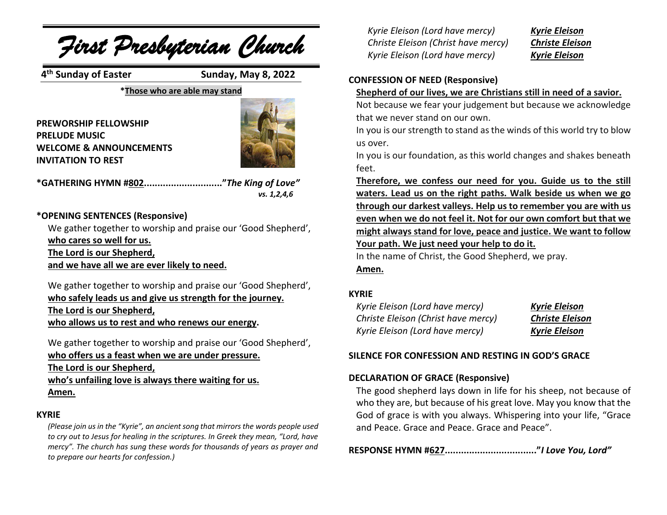

We gather together to worship and praise our 'Good Shepherd', **who safely leads us and give us strength for the journey. The Lord is our Shepherd, who allows us to rest and who renews our energy.**

We gather together to worship and praise our 'Good Shepherd',

**who offers us a feast when we are under pressure. The Lord is our Shepherd, who's unfailing love is always there waiting for us. Amen.**

## **KYRIE**

*(Please join us in the "Kyrie", an ancient song that mirrors the words people used to cry out to Jesus for healing in the scriptures. In Greek they mean, "Lord, have mercy". The church has sung these words for thousands of years as prayer and to prepare our hearts for confession.)*

*Kyrie Eleison (Lord have mercy) Kyrie Eleison Christe Eleison (Christ have mercy) Christe Eleison Kyrie Eleison (Lord have mercy) Kyrie Eleison*

## **CONFESSION OF NEED (Responsive)**

### **Shepherd of our lives, we are Christians still in need of a savior.**

Not because we fear your judgement but because we acknowledge that we never stand on our own.

In you is our strength to stand asthe winds of this world try to blow us over.

In you is our foundation, as this world changes and shakes beneath

**Therefore, we confess our need for you. Guide us to the still waters. Lead us on the right paths. Walk beside us when we go through our darkest valleys. Help us to remember you are with us even when we do not feel it. Not for our own comfort but that we might always stand for love, peace and justice. We want to follow Your path. We just need your help to do it.**

In the name of Christ, the Good Shepherd, we pray.

**Amen.**

## **KYRIE**

| Kyrie Eleison (Lord have mercy)     | <b>Kyrie Eleison</b>   |
|-------------------------------------|------------------------|
| Christe Eleison (Christ have mercy) | <b>Christe Eleison</b> |
| Kyrie Eleison (Lord have mercy)     | <b>Kyrie Eleison</b>   |

## **SILENCE FOR CONFESSION AND RESTING IN GOD'S GRACE**

## **DECLARATION OF GRACE (Responsive)**

The good shepherd lays down in life for his sheep, not because of who they are, but because of his great love. May you know that the God of grace is with you always. Whispering into your life, "Grace and Peace. Grace and Peace. Grace and Peace".

**RESPONSE HYMN #627.................................."***I Love You, Lord"*